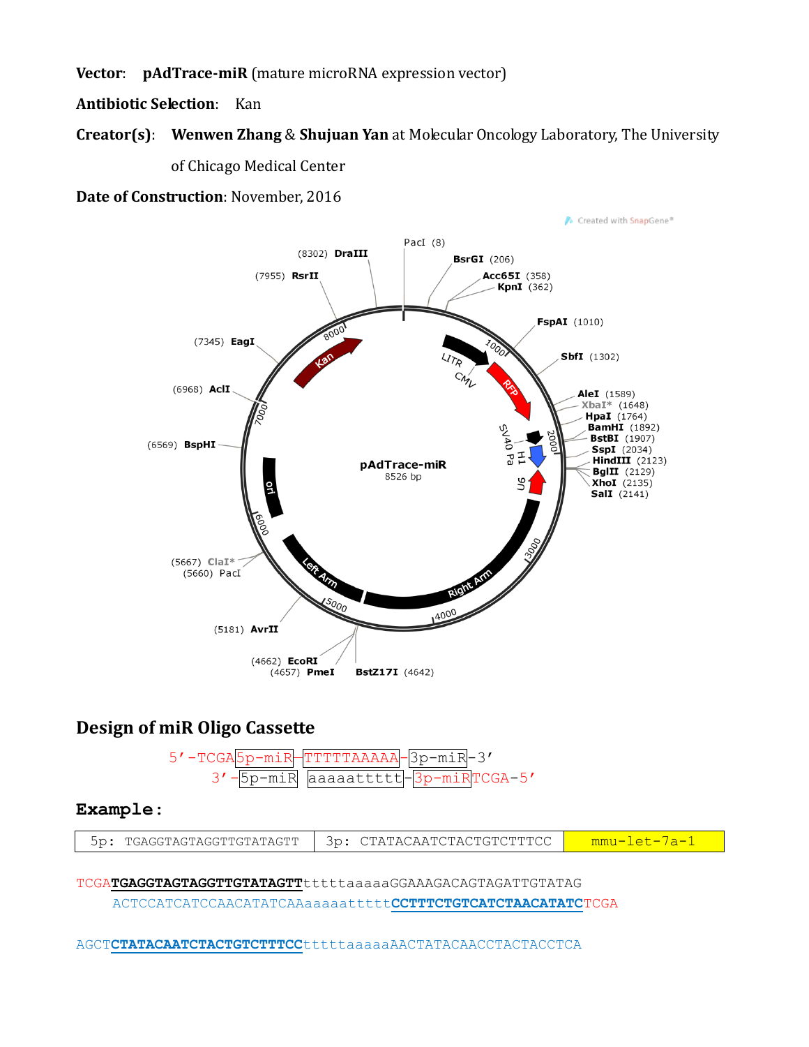Vector: pAdTrace-miR (mature microRNA expression vector)

**Antibiotic Selection: Kan** 

# **Creator(s):** Wenwen Zhang & Shujuan Yan at Molecular Oncology Laboratory, The University of Chicago Medical Center

Date of Construction: November, 2016



## **Design of miR Oligo Cassette**



## Example:

| TGAGGTAGTAGGTTGTATAGTT | CTATACAATCTACTGTCTTTCC | ոսոս |
|------------------------|------------------------|------|
|------------------------|------------------------|------|

#### TCGATGAGGTAGTAGGTTGTATAGTTtttttaaaaaGGAAAGACAGTAGATTGTATAG

ACTCCATCATCCAACATATCAAaaaaatttttCCTTTCTGTCATCTAACATATCTCGA

AGCTCTATACAATCTACTGTCTTTCCtttttaaaaaAACTATACAACCTACTACCTCA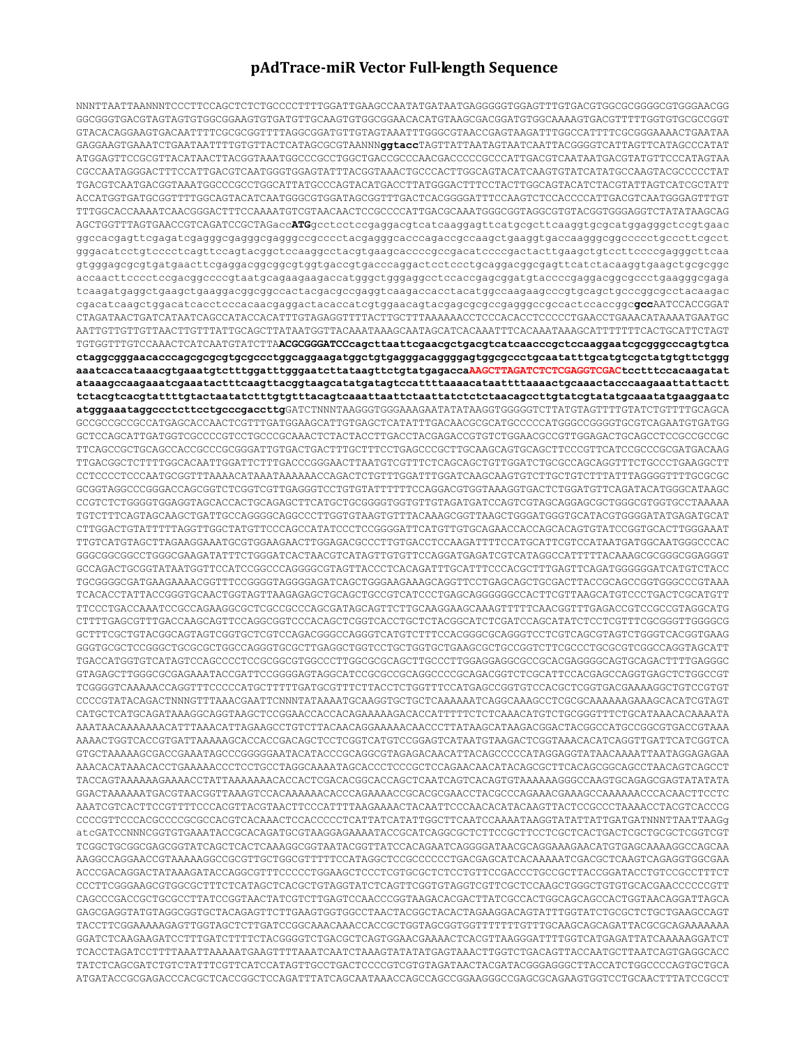## **pAdTrace-miR Vector Full-length Sequence**

NNNTTAATTAANNNTCCCTTCCAGCTCTCTGCCCCTTTTGGATTGAAGCCAATATGATAATGAGGGGGTGGAGTTTGTGACGTGGCGCGGGGCGTGGGAACGG GGCGGGTGACGTAGTAGTGTGGCGGAAGTGTGATGTTGCAAGTGTGGCGGAACACATGTAAGCGACGGATGTGGCAAAAGTGACGTTTTTGGTGTGCGCCGGT GTACACAGGAAGTGACAATTTTCGCGCGGTTTTAGGCGGATGTTGTAGTAAATTTGGGCGTAACCGAGTAAGATTTGGCCATTTTCGCGGGAAAACTGAATAA GAGGAAGTGAAATCTGAATAATTTTGTGTTACTCATAGCGCGTAANNN**ggtacc**TAGTTATTAATAGTAATCAATTACGGGGTCATTAGTTCATAGCCCATAT ATGGAGTTCCGCGTTACATAACTTACGGTAAATGGCCCGCCTGGCTGACCGCCCAACGACCCCCGCCCATTGACGTCAATAATGACGTATGTTCCCATAGTAA CGCCAATAGGGACTTTCCATTGACGTCAATGGGTGGAGTATTTACGGTAAACTGCCCACTTGGCAGTACATCAAGTGTATCATATGCCAAGTACGCCCCCTAT TGACGTCAATGACGGTAAATGGCCCGCCTGGCATTATGCCCAGTACATGACCTTATGGGACTTTCCTACTTGGCAGTACATCTACGTATTAGTCATCGCTATT ACCATGGTGATGCGGTTTTGGCAGTACATCAATGGGCGTGGATAGCGGTTTGACTCACGGGGATTTCCAAGTCTCCACCCCATTGACGTCAATGGGAGTTTGT TTTGGCACCAAAATCAACGGGACTTTCCAAAATGTCGTAACAACTCCGCCCCATTGACGCAAATGGGCGGTAGGCGTGTACGGTGGGAGGTCTATATAAGCAG AGCTGGTTTAGTGAACCGTCAGATCCGCTAGacc**ATG**gcctcctccgaggacgtcatcaaggagttcatgcgcttcaaggtgcgcatggagggctccgtgaac ggccacgagttcgagatcgagggcgagggcgagggccgcccctacgagggcacccagaccgccaagctgaaggtgaccaagggcggccccctgcccttcgcct gggacatcctgtcccctcagttccagtacggctccaaggcctacgtgaagcaccccgccgacatccccgactacttgaagctgtccttccccgagggcttcaa gtgggagcgcgtgatgaacttcgaggacggcggcgtggtgaccgtgacccaggactcctccctgcaggacggcgagttcatctacaaggtgaagctgcgcggc accaacttcccctccgacggccccgtaatgcagaagaagaccatgggctgggaggcctccaccgagcggatgtaccccgaggacggcgccctgaagggcgaga tcaagatgaggctgaagctgaaggacggcggccactacgacgccgaggtcaagaccacctacatggccaagaagcccgtgcagctgcccggcgcctacaagac cgacatcaagctggacatcacctcccacaacgaggactacaccatcgtggaacagtacgagcgcgccgagggccgccactccaccggc**gcc**AATCCACCGGAT CTAGATAACTGATCATAATCAGCCATACCACATTTGTAGAGGTTTTACTTGCTTTAAAAAACCTCCCACACCTCCCCCTGAACCTGAAACATAAAATGAATGC AATTGTTGTTGTTAACTTGTTTATTGCAGCTTATAATGGTTACAAATAAAGCAATAGCATCACAAATTTCACAAATAAAGCATTTTTTTCACTGCATTCTAGT TGTGGTTTGTCCAAACTCATCAATGTATCTTA**ACGCGGGATCCcagcttaattcgaacgctgacgtcatcaacccgctccaaggaatcgcgggcccagtgtca ctaggcgggaacacccagcgcgcgtgcgccctggcaggaagatggctgtgagggacaggggagtggcgccctgcaatatttgcatgtcgctatgtgttctggg aaatcaccataaacgtgaaatgtctttggatttgggaatcttataagttctgtatgagaccaAAGCTTAGATCTCTCGAGGTCGACtcctttccacaagatat ataaagccaagaaatcgaaatactttcaagttacggtaagcatatgatagtccattttaaaacataattttaaaactgcaaactacccaagaaattattactt tctacgtcacgtattttgtactaatatctttgtgtttacagtcaaattaattctaattatctctctaacagccttgtatcgtatatgcaaatatgaaggaatc atgggaaataggccctcttcctgcccgaccttg**GATCTNNNTAAGGGTGGGAAAGAATATATAAGGTGGGGGTCTTATGTAGTTTTGTATCTGTTTTGCAGCA GCCGCCGCCGCCATGAGCACCAACTCGTTTGATGGAAGCATTGTGAGCTCATATTTGACAACGCGCATGCCCCCATGGGCCGGGGTGCGTCAGAATGTGATGG GCTCCAGCATTGATGGTCGCCCCGTCCTGCCCGCAAACTCTACTACCTTGACCTACGAGACCGTGTCTGGAACGCCGTTGGAGACTGCAGCCTCCGCCGCCGC TTCAGCCGCTGCAGCCACCGCCCGCGGGATTGTGACTGACTTTGCTTTCCTGAGCCCGCTTGCAAGCAGTGCAGCTTCCCGTTCATCCGCCCGCGATGACAAG TTGACGGCTCTTTTGGCACAATTGGATTCTTTGACCCGGGAACTTAATGTCGTTTCTCAGCAGCTGTTGGATCTGCGCCAGCAGGTTTCTGCCCTGAAGGCTT CCTCCCCTCCCAATGCGGTTTAAAACATAAATAAAAAACCAGACTCTGTTTGGATTTGGATCAAGCAAGTGTCTTGCTGTCTTTATTTAGGGGTTTTGCGCGC GCGGTAGGCCCGGGACCAGCGGTCTCGGTCGTTGAGGGTCCTGTGTATTTTTTCCAGGACGTGGTAAAGGTGACTCTGGATGTTCAGATACATGGGCATAAGC CCGTCTCTGGGGTGGAGGTAGCACCACTGCAGAGCTTCATGCTGCGGGGTGGTGTTGTAGATGATCCAGTCGTAGCAGGAGCGCTGGGCGTGGTGCCTAAAAA TGTCTTTCAGTAGCAAGCTGATTGCCAGGGGCAGGCCCTTGGTGTAAGTGTTTACAAAGCGGTTAAGCTGGGATGGGTGCATACGTGGGGATATGAGATGCAT CTTGGACTGTATTTTTAGGTTGGCTATGTTCCCAGCCATATCCCTCCGGGGATTCATGTTGTGCAGAACCACCAGCACAGTGTATCCGGTGCACTTGGGAAAT TTGTCATGTAGCTTAGAAGGAAATGCGTGGAAGAACTTGGAGACGCCCTTGTGACCTCCAAGATTTTCCATGCATTCGTCCATAATGATGGCAATGGGCCCAC GGGCGGCGGCCTGGGCGAAGATATTTCTGGGATCACTAACGTCATAGTTGTGTTCCAGGATGAGATCGTCATAGGCCATTTTTACAAAGCGCGGGCGGAGGGT GCCAGACTGCGGTATAATGGTTCCATCCGGCCCAGGGGCGTAGTTACCCTCACAGATTTGCATTTCCCACGCTTTGAGTTCAGATGGGGGGATCATGTCTACC TGCGGGGCGATGAAGAAAACGGTTTCCGGGGTAGGGGAGATCAGCTGGGAAGAAAGCAGGTTCCTGAGCAGCTGCGACTTACCGCAGCCGGTGGGCCCGTAAA TCACACCTATTACCGGGTGCAACTGGTAGTTAAGAGAGCTGCAGCTGCCGTCATCCCTGAGCAGGGGGGCCACTTCGTTAAGCATGTCCCTGACTCGCATGTT TTCCCTGACCAAATCCGCCAGAAGGCGCTCGCCGCCCAGCGATAGCAGTTCTTGCAAGGAAGCAAAGTTTTTCAACGGTTTGAGACCGTCCGCCGTAGGCATG CTTTTGAGCGTTTGACCAAGCAGTTCCAGGCGGTCCCACAGCTCGGTCACCTGCTCTACGGCATCTCGATCCAGCATATCTCCTCGTTTCGCGGGTTGGGGCG GCTTTCGCTGTACGGCAGTAGTCGGTGCTCGTCCAGACGGGCCAGGGTCATGTCTTTCCACGGGCGCAGGGTCCTCGTCAGCGTAGTCTGGGTCACGGTGAAG GGGTGCGCTCCGGGCTGCGCGCTGGCCAGGGTGCGCTTGAGGCTGGTCCTGCTGGTGCTGAAGCGCTGCCGGTCTTCGCCCTGCGCGTCGGCCAGGTAGCATT TGACCATGGTGTCATAGTCCAGCCCCTCCGCGGCGTGGCCCTTGGCGCGCAGCTTGCCCTTGGAGGAGGCGCCGCACGAGGGGCAGTGCAGACTTTTGAGGGC GTAGAGCTTGGGCGCGAGAAATACCGATTCCGGGGAGTAGGCATCCGCGCCGCAGGCCCCGCAGACGGTCTCGCATTCCACGAGCCAGGTGAGCTCTGGCCGT TCGGGGTCAAAAACCAGGTTTCCCCCATGCTTTTTGATGCGTTTCTTACCTCTGGTTTCCATGAGCCGGTGTCCACGCTCGGTGACGAAAAGGCTGTCCGTGT CCCCGTATACAGACTNNNGTTTAAACGAATTCNNNTATAAAATGCAAGGTGCTGCTCAAAAAATCAGGCAAAGCCTCGCGCAAAAAAGAAAGCACATCGTAGT CATGCTCATGCAGATAAAGGCAGGTAAGCTCCGGAACCACCACAGAAAAAGACACCATTTTTCTCTCAAACATGTCTGCGGGTTTCTGCATAAACACAAAATA AAATAACAAAAAAACATTTAAACATTAGAAGCCTGTCTTACAACAGGAAAAACAACCCTTATAAGCATAAGACGGACTACGGCCATGCCGGCGTGACCGTAAA AAAACTGGTCACCGTGATTAAAAAGCACCACCGACAGCTCCTCGGTCATGTCCGGAGTCATAATGTAAGACTCGGTAAACACATCAGGTTGATTCATCGGTCA GTGCTAAAAAGCGACCGAAATAGCCCGGGGGAATACATACCCGCAGGCGTAGAGACAACATTACAGCCCCCATAGGAGGTATAACAAAATTAATAGGAGAGAA AAACACATAAACACCTGAAAAACCCTCCTGCCTAGGCAAAATAGCACCCTCCCGCTCCAGAACAACATACAGCGCTTCACAGCGGCAGCCTAACAGTCAGCCT TACCAGTAAAAAAGAAAACCTATTAAAAAAACACCACTCGACACGGCACCAGCTCAATCAGTCACAGTGTAAAAAAGGGCCAAGTGCAGAGCGAGTATATATA GGACTAAAAAATGACGTAACGGTTAAAGTCCACAAAAAACACCCAGAAAACCGCACGCGAACCTACGCCCAGAAACGAAAGCCAAAAAACCCACAACTTCCTC AAATCGTCACTTCCGTTTTCCCACGTTACGTAACTTCCCATTTTAAGAAAACTACAATTCCCAACACATACAAGTTACTCCGCCCTAAAACCTACGTCACCCG CCCCGTTCCCACGCCCCGCGCCACGTCACAAACTCCACCCCCTCATTATCATATTGGCTTCAATCCAAAATAAGGTATATTATTGATGATNNNTTAATTAAGg atcGATCCNNNCGGTGTGAAATACCGCACAGATGCGTAAGGAGAAAATACCGCATCAGGCGCTCTTCCGCTTCCTCGCTCACTGACTCGCTGCGCTCGGTCGT TCGGCTGCGGCGAGCGGTATCAGCTCACTCAAAGGCGGTAATACGGTTATCCACAGAATCAGGGGATAACGCAGGAAAGAACATGTGAGCAAAAGGCCAGCAA AAGGCCAGGAACCGTAAAAAGGCCGCGTTGCTGGCGTTTTTCCATAGGCTCCGCCCCCCTGACGAGCATCACAAAAATCGACGCTCAAGTCAGAGGTGGCGAA ACCCGACAGGACTATAAAGATACCAGGCGTTTCCCCCTGGAAGCTCCCTCGTGCGCTCTCCTGTTCCGACCCTGCCGCTTACCGGATACCTGTCCGCCTTTCT CCCTTCGGGAAGCGTGGCGCTTTCTCATAGCTCACGCTGTAGGTATCTCAGTTCGGTGTAGGTCGTTCGCTCCAAGCTGGGCTGTGTGCACGAACCCCCCGTT CAGCCCGACCGCTGCGCCTTATCCGGTAACTATCGTCTTGAGTCCAACCCGGTAAGACACGACTTATCGCCACTGGCAGCAGCCACTGGTAACAGGATTAGCA GAGCGAGGTATGTAGGCGGTGCTACAGAGTTCTTGAAGTGGTGGCCTAACTACGGCTACACTAGAAGGACAGTATTTGGTATCTGCGCTCTGCTGAAGCCAGT TACCTTCGGAAAAAGAGTTGGTAGCTCTTGATCCGGCAAACAAACCACCGCTGGTAGCGGTGGTTTTTTTGTTTGCAAGCAGCAGATTACGCGCAGAAAAAAA GGATCTCAAGAAGATCCTTTGATCTTTTCTACGGGGTCTGACGCTCAGTGGAACGAAAACTCACGTTAAGGGATTTTGGTCATGAGATTATCAAAAAGGATCT TCACCTAGATCCTTTTAAATTAAAAATGAAGTTTTAAATCAATCTAAAGTATATATGAGTAAACTTGGTCTGACAGTTACCAATGCTTAATCAGTGAGGCACC TATCTCAGCGATCTGTCTATTTCGTTCATCCATAGTTGCCTGACTCCCCGTCGTGTAGATAACTACGATACGGGAGGGCTTACCATCTGGCCCCAGTGCTGCA ATGATACCGCGAGACCCACGCTCACCGGCTCCAGATTTATCAGCAATAAACCAGCCAGCCGGAAGGGCCGAGCGCAGAAGTGGTCCTGCAACTTTATCCGCCT